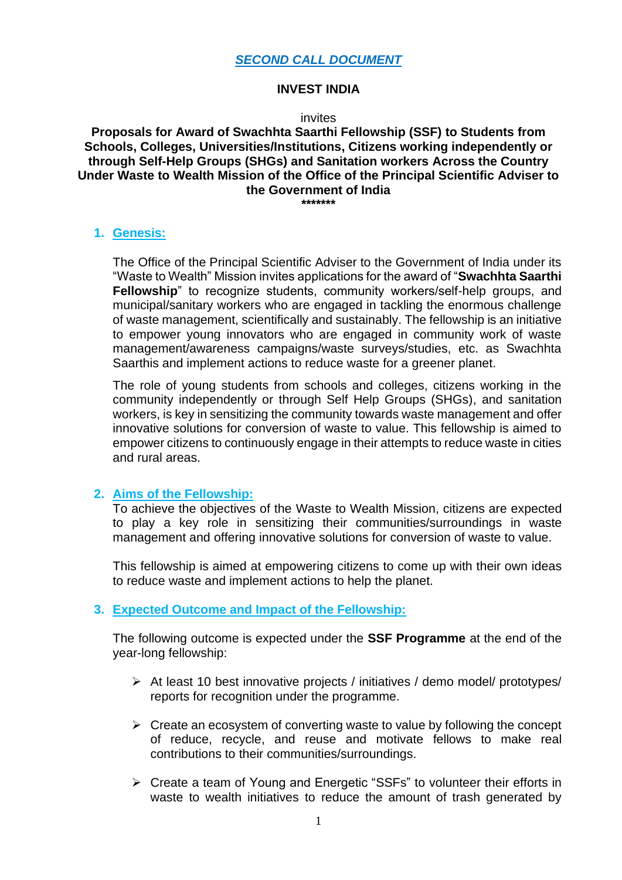#### **INVEST INDIA**

#### invites

### **Proposals for Award of Swachhta Saarthi Fellowship (SSF) to Students from Schools, Colleges, Universities/Institutions, Citizens working independently or through Self-Help Groups (SHGs) and Sanitation workers Across the Country Under Waste to Wealth Mission of the Office of the Principal Scientific Adviser to the Government of India**

**\*\*\*\*\*\*\***

#### **1. Genesis:**

The Office of the Principal Scientific Adviser to the Government of India under its "Waste to Wealth" Mission invites applications for the award of "**Swachhta Saarthi Fellowship**" to recognize students, community workers/self-help groups, and municipal/sanitary workers who are engaged in tackling the enormous challenge of waste management, scientifically and sustainably. The fellowship is an initiative to empower young innovators who are engaged in community work of waste management/awareness campaigns/waste surveys/studies, etc. as Swachhta Saarthis and implement actions to reduce waste for a greener planet.

The role of young students from schools and colleges, citizens working in the community independently or through Self Help Groups (SHGs), and sanitation workers, is key in sensitizing the community towards waste management and offer innovative solutions for conversion of waste to value. This fellowship is aimed to empower citizens to continuously engage in their attempts to reduce waste in cities and rural areas.

# **2. Aims of the Fellowship:**

To achieve the objectives of the Waste to Wealth Mission, citizens are expected to play a key role in sensitizing their communities/surroundings in waste management and offering innovative solutions for conversion of waste to value.

This fellowship is aimed at empowering citizens to come up with their own ideas to reduce waste and implement actions to help the planet.

# **3. Expected Outcome and Impact of the Fellowship:**

The following outcome is expected under the **SSF Programme** at the end of the year-long fellowship:

- ➢ At least 10 best innovative projects / initiatives / demo model/ prototypes/ reports for recognition under the programme.
- $\triangleright$  Create an ecosystem of converting waste to value by following the concept of reduce, recycle, and reuse and motivate fellows to make real contributions to their communities/surroundings.
- ➢ Create a team of Young and Energetic "SSFs" to volunteer their efforts in waste to wealth initiatives to reduce the amount of trash generated by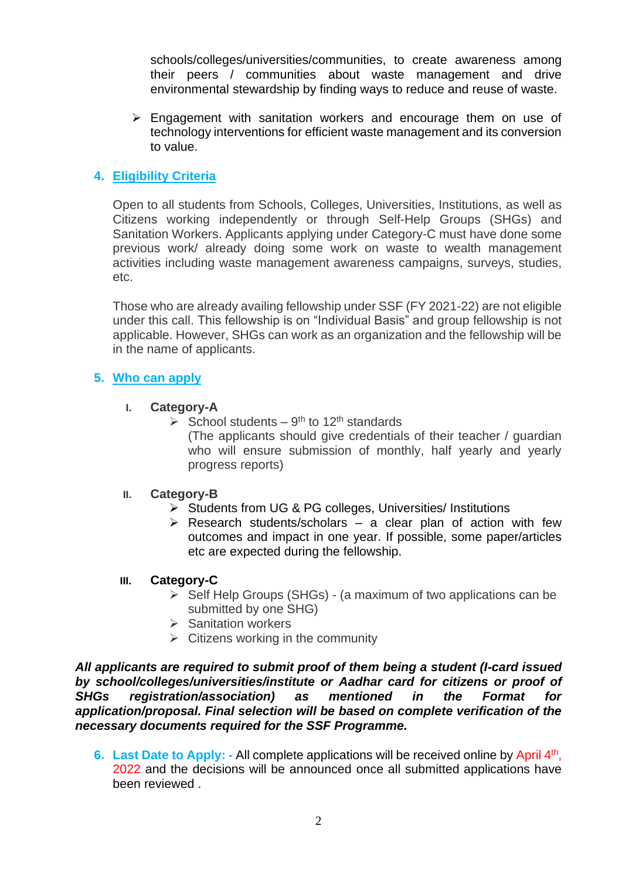schools/colleges/universities/communities, to create awareness among their peers / communities about waste management and drive environmental stewardship by finding ways to reduce and reuse of waste.

➢ Engagement with sanitation workers and encourage them on use of technology interventions for efficient waste management and its conversion to value.

# **4. Eligibility Criteria**

Open to all students from Schools, Colleges, Universities, Institutions, as well as Citizens working independently or through Self-Help Groups (SHGs) and Sanitation Workers. Applicants applying under Category-C must have done some previous work/ already doing some work on waste to wealth management activities including waste management awareness campaigns, surveys, studies, etc.

Those who are already availing fellowship under SSF (FY 2021-22) are not eligible under this call. This fellowship is on "Individual Basis" and group fellowship is not applicable. However, SHGs can work as an organization and the fellowship will be in the name of applicants.

#### **5. Who can apply**

#### **I. Category-A**

 $\triangleright$  School students – 9<sup>th</sup> to 12<sup>th</sup> standards

(The applicants should give credentials of their teacher / guardian who will ensure submission of monthly, half yearly and yearly progress reports)

#### **II. Category-B**

- ➢ Students from UG & PG colleges, Universities/ Institutions
- $\triangleright$  Research students/scholars a clear plan of action with few outcomes and impact in one year. If possible, some paper/articles etc are expected during the fellowship.

#### **III. Category-C**

- ➢ Self Help Groups (SHGs) (a maximum of two applications can be submitted by one SHG)
- ➢ Sanitation workers
- $\triangleright$  Citizens working in the community

*All applicants are required to submit proof of them being a student (I-card issued by school/colleges/universities/institute or Aadhar card for citizens or proof of SHGs registration/association) as mentioned in the Format for application/proposal. Final selection will be based on complete verification of the necessary documents required for the SSF Programme.*

6. Last Date to Apply: - All complete applications will be received online by April 4<sup>th</sup>, 2022 and the decisions will be announced once all submitted applications have been reviewed .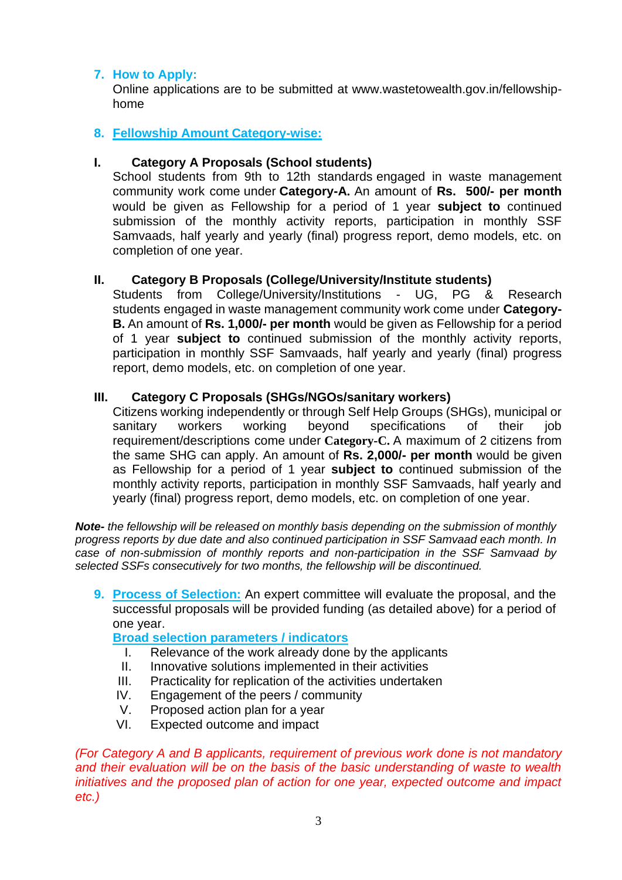# **7. How to Apply:**

Online applications are to be submitted at www.wastetowealth.gov.in/fellowshiphome

## **8. Fellowship Amount Category-wise:**

### **I. Category A Proposals (School students)**

School students from 9th to 12th standards engaged in waste management community work come under **Category-A.** An amount of **Rs. 500/- per month** would be given as Fellowship for a period of 1 year **subject to** continued submission of the monthly activity reports, participation in monthly SSF Samvaads, half yearly and yearly (final) progress report, demo models, etc. on completion of one year.

## **II. Category B Proposals (College/University/Institute students)**

Students from College/University/Institutions - UG, PG & Research students engaged in waste management community work come under **Category-B.** An amount of **Rs. 1,000/- per month** would be given as Fellowship for a period of 1 year **subject to** continued submission of the monthly activity reports, participation in monthly SSF Samvaads, half yearly and yearly (final) progress report, demo models, etc. on completion of one year.

#### **III. Category C Proposals (SHGs/NGOs/sanitary workers)**

Citizens working independently or through Self Help Groups (SHGs), municipal or sanitary workers working beyond specifications of their job requirement/descriptions come under **Category-C.** A maximum of 2 citizens from the same SHG can apply. An amount of **Rs. 2,000/- per month** would be given as Fellowship for a period of 1 year **subject to** continued submission of the monthly activity reports, participation in monthly SSF Samvaads, half yearly and yearly (final) progress report, demo models, etc. on completion of one year.

*Note- the fellowship will be released on monthly basis depending on the submission of monthly progress reports by due date and also continued participation in SSF Samvaad each month. In case of non-submission of monthly reports and non-participation in the SSF Samvaad by selected SSFs consecutively for two months, the fellowship will be discontinued.*

**9. Process of Selection:** An expert committee will evaluate the proposal, and the successful proposals will be provided funding (as detailed above) for a period of one year.

**Broad selection parameters / indicators**

- I. Relevance of the work already done by the applicants
- II. Innovative solutions implemented in their activities
- III. Practicality for replication of the activities undertaken
- IV. Engagement of the peers / community
- V. Proposed action plan for a year
- VI. Expected outcome and impact

*(For Category A and B applicants, requirement of previous work done is not mandatory and their evaluation will be on the basis of the basic understanding of waste to wealth initiatives and the proposed plan of action for one year, expected outcome and impact etc.)*